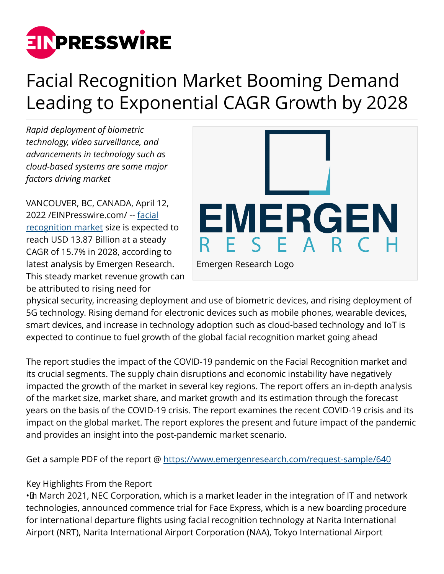

## Facial Recognition Market Booming Demand Leading to Exponential CAGR Growth by 2028

*Rapid deployment of biometric technology, video surveillance, and advancements in technology such as cloud-based systems are some major factors driving market*

VANCOUVER, BC, CANADA, April 12, 2022 /[EINPresswire.com](http://www.einpresswire.com)/ -- [facial](https://www.emergenresearch.com/industry-report/facial-recognition-market) [recognition market](https://www.emergenresearch.com/industry-report/facial-recognition-market) size is expected to reach USD 13.87 Billion at a steady CAGR of 15.7% in 2028, according to latest analysis by Emergen Research. This steady market revenue growth can be attributed to rising need for



physical security, increasing deployment and use of biometric devices, and rising deployment of 5G technology. Rising demand for electronic devices such as mobile phones, wearable devices, smart devices, and increase in technology adoption such as cloud-based technology and IoT is expected to continue to fuel growth of the global facial recognition market going ahead

The report studies the impact of the COVID-19 pandemic on the Facial Recognition market and its crucial segments. The supply chain disruptions and economic instability have negatively impacted the growth of the market in several key regions. The report offers an in-depth analysis of the market size, market share, and market growth and its estimation through the forecast years on the basis of the COVID-19 crisis. The report examines the recent COVID-19 crisis and its impact on the global market. The report explores the present and future impact of the pandemic and provides an insight into the post-pandemic market scenario.

Get a sample PDF of the report @ <https://www.emergenresearch.com/request-sample/640>

## Key Highlights From the Report

• In March 2021, NEC Corporation, which is a market leader in the integration of IT and network technologies, announced commence trial for Face Express, which is a new boarding procedure for international departure flights using facial recognition technology at Narita International Airport (NRT), Narita International Airport Corporation (NAA), Tokyo International Airport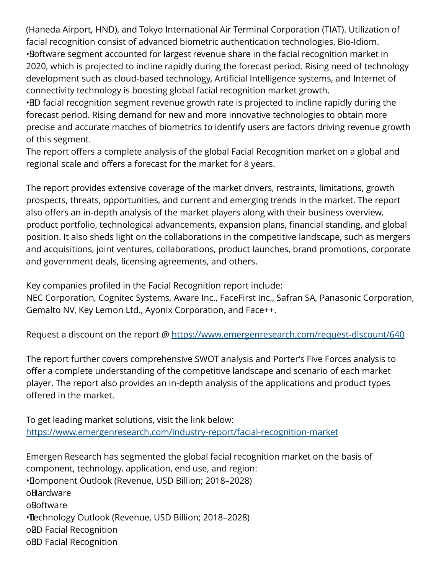(Haneda Airport, HND), and Tokyo International Air Terminal Corporation (TIAT). Utilization of facial recognition consist of advanced biometric authentication technologies, Bio-Idiom. • Software segment accounted for largest revenue share in the facial recognition market in 2020, which is projected to incline rapidly during the forecast period. Rising need of technology development such as cloud-based technology, Artificial Intelligence systems, and Internet of connectivity technology is boosting global facial recognition market growth.

• 3D facial recognition segment revenue growth rate is projected to incline rapidly during the forecast period. Rising demand for new and more innovative technologies to obtain more precise and accurate matches of biometrics to identify users are factors driving revenue growth of this segment.

The report offers a complete analysis of the global Facial Recognition market on a global and regional scale and offers a forecast for the market for 8 years.

The report provides extensive coverage of the market drivers, restraints, limitations, growth prospects, threats, opportunities, and current and emerging trends in the market. The report also offers an in-depth analysis of the market players along with their business overview, product portfolio, technological advancements, expansion plans, financial standing, and global position. It also sheds light on the collaborations in the competitive landscape, such as mergers and acquisitions, joint ventures, collaborations, product launches, brand promotions, corporate and government deals, licensing agreements, and others.

Key companies profiled in the Facial Recognition report include:

NEC Corporation, Cognitec Systems, Aware Inc., FaceFirst Inc., Safran SA, Panasonic Corporation, Gemalto NV, Key Lemon Ltd., Ayonix Corporation, and Face++.

Request a discount on the report @ <https://www.emergenresearch.com/request-discount/640>

The report further covers comprehensive SWOT analysis and Porter's Five Forces analysis to offer a complete understanding of the competitive landscape and scenario of each market player. The report also provides an in-depth analysis of the applications and product types offered in the market.

To get leading market solutions, visit the link below: <https://www.emergenresearch.com/industry-report/facial-recognition-market>

Emergen Research has segmented the global facial recognition market on the basis of component, technology, application, end use, and region: • Component Outlook (Revenue, USD Billion; 2018–2028) **o**Hardware o Software • Technology Outlook (Revenue, USD Billion; 2018–2028) o<sub>ZD</sub> Facial Recognition oBD Facial Recognition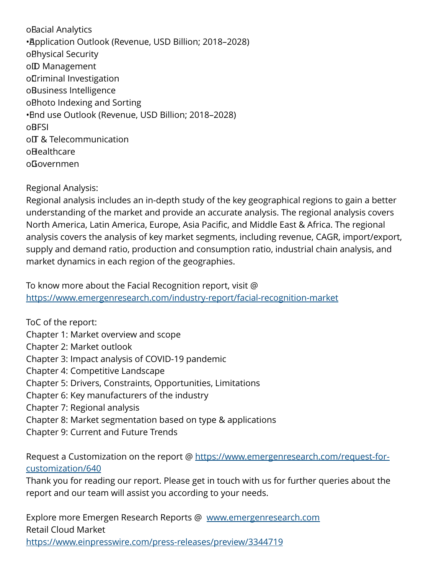o Bacial Analytics • Application Outlook (Revenue, USD Billion; 2018–2028) o Bhysical Security o<sub>ID</sub> Management o Criminal Investigation oBusiness Intelligence o Bhoto Indexing and Sorting • End use Outlook (Revenue, USD Billion; 2018–2028) **oBFSI** o $\Pi$  & Telecommunication o**Healthcare** o Governmen

Regional Analysis:

Regional analysis includes an in-depth study of the key geographical regions to gain a better understanding of the market and provide an accurate analysis. The regional analysis covers North America, Latin America, Europe, Asia Pacific, and Middle East & Africa. The regional analysis covers the analysis of key market segments, including revenue, CAGR, import/export, supply and demand ratio, production and consumption ratio, industrial chain analysis, and market dynamics in each region of the geographies.

To know more about the Facial Recognition report, visit @ <https://www.emergenresearch.com/industry-report/facial-recognition-market>

ToC of the report: Chapter 1: Market overview and scope Chapter 2: Market outlook Chapter 3: Impact analysis of COVID-19 pandemic Chapter 4: Competitive Landscape Chapter 5: Drivers, Constraints, Opportunities, Limitations Chapter 6: Key manufacturers of the industry Chapter 7: Regional analysis Chapter 8: Market segmentation based on type & applications Chapter 9: Current and Future Trends

Request a Customization on the report @ [https://www.emergenresearch.com/request-for](https://www.emergenresearch.com/request-for-customization/640)[customization/640](https://www.emergenresearch.com/request-for-customization/640)

Thank you for reading our report. Please get in touch with us for further queries about the report and our team will assist you according to your needs.

Explore more Emergen Research Reports @ [www.emergenresearch.com](http://www.emergenresearch.com) Retail Cloud Market

<https://www.einpresswire.com/press-releases/preview/3344719>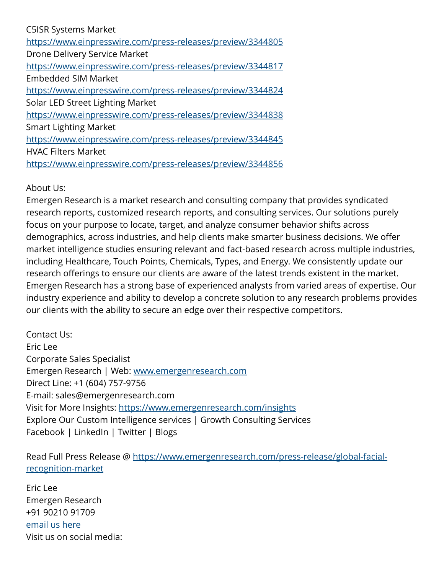## C5ISR Systems Market

<https://www.einpresswire.com/press-releases/preview/3344805> Drone Delivery Service Market <https://www.einpresswire.com/press-releases/preview/3344817> Embedded SIM Market <https://www.einpresswire.com/press-releases/preview/3344824> Solar LED Street Lighting Market <https://www.einpresswire.com/press-releases/preview/3344838> Smart Lighting Market <https://www.einpresswire.com/press-releases/preview/3344845> HVAC Filters Market <https://www.einpresswire.com/press-releases/preview/3344856>

## About Us:

Emergen Research is a market research and consulting company that provides syndicated research reports, customized research reports, and consulting services. Our solutions purely focus on your purpose to locate, target, and analyze consumer behavior shifts across demographics, across industries, and help clients make smarter business decisions. We offer market intelligence studies ensuring relevant and fact-based research across multiple industries, including Healthcare, Touch Points, Chemicals, Types, and Energy. We consistently update our research offerings to ensure our clients are aware of the latest trends existent in the market. Emergen Research has a strong base of experienced analysts from varied areas of expertise. Our industry experience and ability to develop a concrete solution to any research problems provides our clients with the ability to secure an edge over their respective competitors.

Contact Us: Eric Lee Corporate Sales Specialist Emergen Research | Web: [www.emergenresearch.com](http://www.emergenresearch.com) Direct Line: +1 (604) 757-9756 E-mail: sales@emergenresearch.com Visit for More Insights: <https://www.emergenresearch.com/insights> Explore Our Custom Intelligence services | Growth Consulting Services Facebook | LinkedIn | Twitter | Blogs

Read Full Press Release @ [https://www.emergenresearch.com/press-release/global-facial](https://www.emergenresearch.com/press-release/global-facial-recognition-market)[recognition-market](https://www.emergenresearch.com/press-release/global-facial-recognition-market)

Eric Lee Emergen Research +91 90210 91709 [email us here](http://www.einpresswire.com/contact_author/3354502) Visit us on social media: